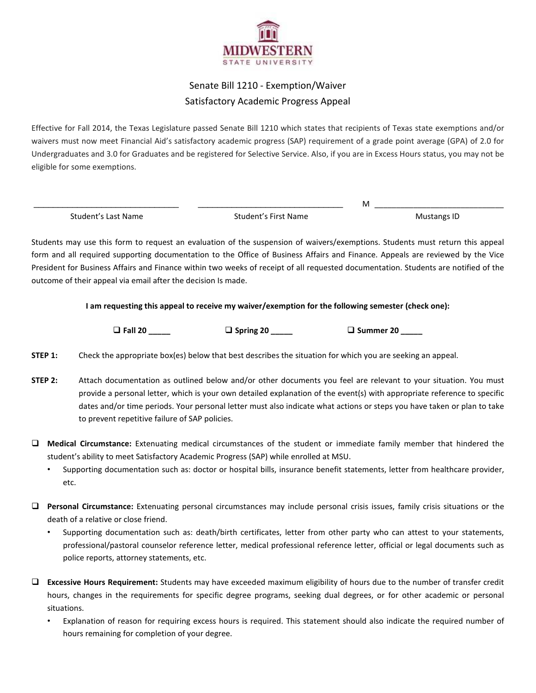

## Senate Bill 1210 - Exemption/Waiver Satisfactory Academic Progress Appeal

Effective for Fall 2014, the Texas Legislature passed Senate Bill 1210 which states that recipients of Texas state exemptions and/or waivers must now meet Financial Aid's satisfactory academic progress (SAP) requirement of a grade point average (GPA) of 2.0 for Undergraduates and 3.0 for Graduates and be registered for Selective Service. Also, if you are in Excess Hours status, you may not be eligible for some exemptions.

 \_\_\_\_\_\_\_\_\_\_\_\_\_\_\_\_\_\_\_\_\_\_\_\_\_\_\_\_\_\_ \_\_\_\_\_\_\_\_\_\_\_\_\_\_\_\_\_\_\_\_\_\_\_\_\_\_\_\_\_\_ M \_\_\_\_\_\_\_\_\_\_\_\_\_\_\_\_\_\_\_\_\_\_\_\_\_\_\_\_\_\_ Student's First Name Student's First Name

Students may use this form to request an evaluation of the suspension of waivers/exemptions. Students must return this appeal form and all required supporting documentation to the Office of Business Affairs and Finance. Appeals are reviewed by the Vice President for Business Affairs and Finance within two weeks of receipt of all requested documentation. Students are notified of the outcome of their appeal via email after the decision Is made.

**I am requesting this appeal to receive my waiver/exemption for the following semester (check one):** 

- **Fall 20 \_\_\_\_\_** - **Spring 20 \_\_\_\_\_** - **Summer 20 \_\_\_\_\_**

- **STEP 1:** Check the appropriate box(es) below that best describes the situation for which you are seeking an appeal.
- **STEP 2:** Attach documentation as outlined below and/or other documents you feel are relevant to your situation. You must provide a personal letter, which is your own detailed explanation of the event(s) with appropriate reference to specific dates and/or time periods. Your personal letter must also indicate what actions or steps you have taken or plan to take to prevent repetitive failure of SAP policies.
- **Medical Circumstance:** Extenuating medical circumstances of the student or immediate family member that hindered the student's ability to meet Satisfactory Academic Progress (SAP) while enrolled at MSU.
	- Supporting documentation such as: doctor or hospital bills, insurance benefit statements, letter from healthcare provider, etc.
- **Personal Circumstance:** Extenuating personal circumstances may include personal crisis issues, family crisis situations or the death of a relative or close friend.
	- Supporting documentation such as: death/birth certificates, letter from other party who can attest to your statements, professional/pastoral counselor reference letter, medical professional reference letter, official or legal documents such as police reports, attorney statements, etc.
- **Excessive Hours Requirement:** Students may have exceeded maximum eligibility of hours due to the number of transfer credit hours, changes in the requirements for specific degree programs, seeking dual degrees, or for other academic or personal situations.
	- Explanation of reason for requiring excess hours is required. This statement should also indicate the required number of hours remaining for completion of your degree.